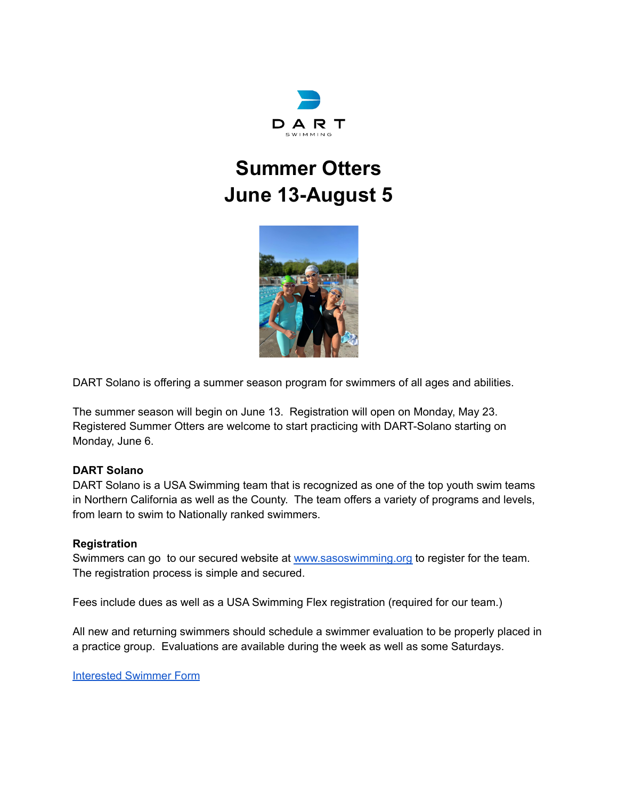

# **Summer Otters June 13-August 5**



DART Solano is offering a summer season program for swimmers of all ages and abilities.

The summer season will begin on June 13. Registration will open on Monday, May 23. Registered Summer Otters are welcome to start practicing with DART-Solano starting on Monday, June 6.

#### **DART Solano**

DART Solano is a USA Swimming team that is recognized as one of the top youth swim teams in Northern California as well as the County. The team offers a variety of programs and levels, from learn to swim to Nationally ranked swimmers.

#### **Registration**

Swimmers can go to our secured website at [www.sasoswimming.org](http://www.sasoswimming.org) to register for the team. The registration process is simple and secured.

Fees include dues as well as a USA Swimming Flex registration (required for our team.)

All new and returning swimmers should schedule a swimmer evaluation to be properly placed in a practice group. Evaluations are available during the week as well as some Saturdays.

[Interested](https://forms.gle/7JNPxYrP58jBNVoh7) Swimmer Form